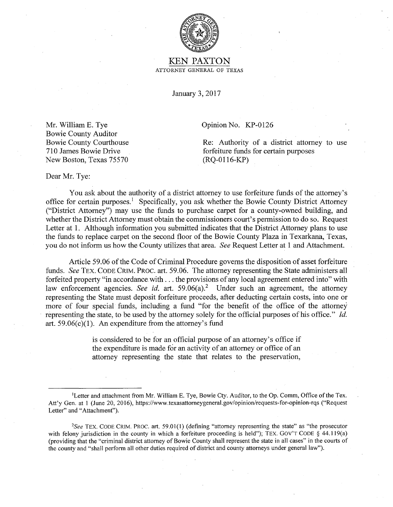

## KEN PAXTON ATTORNEY GENERAL OF TEXAS

January 3, 2017

Opinion No. KP-0126

Re: Authority of a district attorney to use forfeiture funds for certain purposes (RQ-0116-KP)

Mr. William E. Tye Bowie County Auditor Bowie County Courthouse 710 James Bowie Drive New Boston, Texas 75570

Dear Mr. Tye:

You ask about the authority of a district attorney to use forfeiture funds of the attorney's office for certain purposes.<sup>1</sup> Specifically, you ask whether the Bowie County District Attorney ("District Attorney") may use the funds to purchase carpet for a county-owned building, and whether the District Attorney must obtain the commissioners court's permission to do so. Request Letter at 1. Although information you submitted indicates that the District Attorney plans to use the funds to replace carpet on the second floor of the Bowie County Plaza in Texarkana, Texas, you do not inform us how the County utilizes that area. *See* Request Letter at 1 and Attachment.

Article 59.06 of the Code of Criminal Procedure governs the disposition of asset forfeiture funds. *See* TEX. CODE CRIM. PROC. art. 59.06. The attorney representing the State administers all forfeited property "in accordance. with ... the provisions of any local agreement entered into" with law enforcement agencies. *See id.* art. 59.06(a).<sup>2</sup> Under such an agreement, the attorney representing the State must deposit forfeiture proceeds, after deducting certain costs, into one or more of four special funds, including a fund "for the benefit of the office of the attorney representing the state, to be used by the attorney solely for the official purposes of his office." *Id.*  art.  $59.06(c)(1)$ . An expenditure from the attorney's fund

> is considered to be for an official purpose of an attorney's office if the expenditure is made for an activity of an attorney or office of an attorney representing the state that relates to the preservation,

Letter and attachment from Mr. William E. Tye, Bowie Cty. Auditor, to the Op. Comm, Office of the Tex. Att'y Gen. at 1 (June 20, 2016), https://www.texasattorneygeneral.gov/opinion/requests-for-opinion-rqs ("Request Letter" and "Attachment").

*<sup>2</sup>See* TEX. CODE CRIM. PROC. art. 59.01(1) (defining "attorney representing the state" as "the prosecutor with felony jurisdiction in the county in which a forfeiture proceeding is held"); TEX. GOV'T CODE § 44.119(a) (providing that the "criminal district attorney of Bowie County shall represent the state in all cases" in the courts of the county and "shall perform all other duties required of district and county attorneys under general law").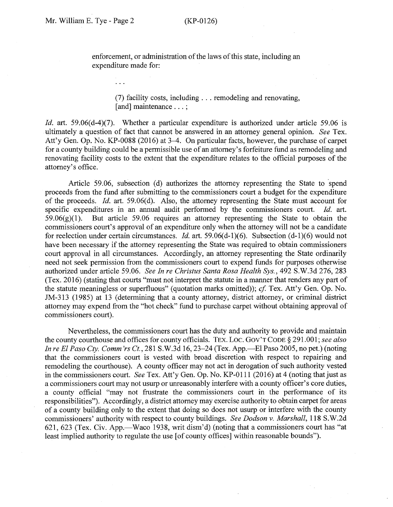enforcement, or administration of the laws of this state, including an expenditure made for:

> (7) facility costs, including ... remodeling and renovating, [and] maintenance . . . ;

*Id.* art. 59.06(d-4)(7). Whether a particular expenditure is authorized under article 59.06 is ultimately a question of fact that cannot be answered in an attorney general opinion. *See* Tex. Att'y Gen. Op. No. KP-0088 (2016) at 3-4. On particular facts, however, the purchase of carpet for a county building could be a permissible use of an attorney's forfeiture fund as remodeling and renovating facility costs to the extent that the expenditure relates to the official purposes of the attorney's office.

Article 59.06, subsection (d) authorizes the attorney representing the State to spend proceeds from the fund after submitting to the commissioners court a budget for the expenditure of the proceeds. *Id.* art. 59.06(d). Also, the attorney representing the State must account for specific expenditures in an annual audit performed by the commissioners court. *Id.* art.  $59.06(g)(1)$ . But article 59.06 requires an attorney representing the State to obtain the commissioners court's approval of an expenditure only when the attorney will not be a candidate for reelection under certain circumstances. *Id.* art. 59.06(d-1)(6). Subsection (d-1)(6) would not have been necessary if the attorney representing the State was required to obtain commissioners court approval in all circumstances. Accordingly, an attorney representing the State ordinarily need not seek permission from the commissioners court to expend funds for purposes otherwise authorized under article 59.06. *See In re Christus Santa Rosa Health Sys.,* 492 S.W.3d 276, 283 (Tex. 2016) (stating that courts "must not interpret the statute in a manner that renders any part of the statute meaningless or superfluous" (quotation marks omitted)); *cf.* Tex. Att'y Gen. Op. No. JM-313 (1985) at 13 (determining that a county attorney, district attorney, or criminal district attorney may expend from the "hot check" fund to purchase carpet without obtaining approval of commissioners court).

Nevertheless, the commissioners court has the duty and authority to provide and maintain the county courthouse and offices for county officials. TEX. Loc. Gov'T CoDE § 291.001; see also *In re El Paso Cty. Comm'rs Ct.*, 281 S.W.3d 16, 23–24 (Tex. App.—El Paso 2005, no pet.) (noting that the commissioners court is vested with broad discretion with respect to repairing and remodeling the courthouse). A county officer may not act in derogation of such authority vested in the commissioners court. *See* Tex. Att'y Gen. Op. No. KP-0111 (2016) at 4 (noting that just as a commissioners court may not usurp or unreasonably interfere with a county officer's core duties, a county official "may not frustrate the commissioners court in the performance of its responsibilities"). Accordingly, a district attorney may exercise authority to obtain carpet for areas of a county building only to the extent that doing so does not usurp or interfere with the county commissioners' authority with respect to county buildings. *See Dodson v. Marshall,* 118 S.W.2d 621, 623 (Tex. Civ. App.—Waco 1938, writ dism'd) (noting that a commissioners court has "at least implied authority to regulate the use [of county offices] within reasonable bounds").